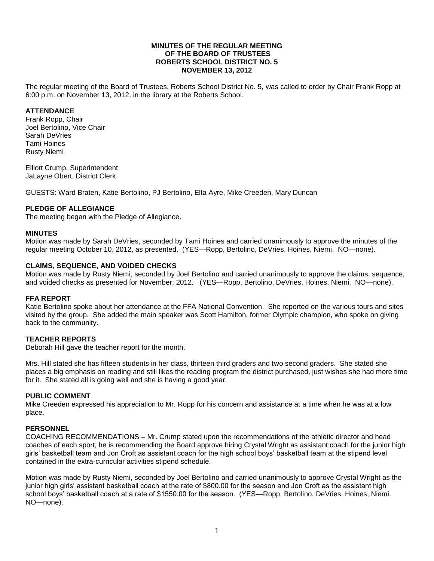#### **MINUTES OF THE REGULAR MEETING OF THE BOARD OF TRUSTEES ROBERTS SCHOOL DISTRICT NO. 5 NOVEMBER 13, 2012**

The regular meeting of the Board of Trustees, Roberts School District No. 5, was called to order by Chair Frank Ropp at 6:00 p.m. on November 13, 2012, in the library at the Roberts School.

## **ATTENDANCE**

Frank Ropp, Chair Joel Bertolino, Vice Chair Sarah DeVries Tami Hoines Rusty Niemi

Elliott Crump, Superintendent JaLayne Obert, District Clerk

GUESTS: Ward Braten, Katie Bertolino, PJ Bertolino, Elta Ayre, Mike Creeden, Mary Duncan

# **PLEDGE OF ALLEGIANCE**

The meeting began with the Pledge of Allegiance.

#### **MINUTES**

Motion was made by Sarah DeVries, seconded by Tami Hoines and carried unanimously to approve the minutes of the regular meeting October 10, 2012, as presented. (YES—Ropp, Bertolino, DeVries, Hoines, Niemi. NO—none).

#### **CLAIMS, SEQUENCE, AND VOIDED CHECKS**

Motion was made by Rusty Niemi, seconded by Joel Bertolino and carried unanimously to approve the claims, sequence, and voided checks as presented for November, 2012. (YES—Ropp, Bertolino, DeVries, Hoines, Niemi. NO—none).

#### **FFA REPORT**

Katie Bertolino spoke about her attendance at the FFA National Convention. She reported on the various tours and sites visited by the group. She added the main speaker was Scott Hamilton, former Olympic champion, who spoke on giving back to the community.

#### **TEACHER REPORTS**

Deborah Hill gave the teacher report for the month.

Mrs. Hill stated she has fifteen students in her class, thirteen third graders and two second graders. She stated she places a big emphasis on reading and still likes the reading program the district purchased, just wishes she had more time for it. She stated all is going well and she is having a good year.

#### **PUBLIC COMMENT**

Mike Creeden expressed his appreciation to Mr. Ropp for his concern and assistance at a time when he was at a low place.

#### **PERSONNEL**

COACHING RECOMMENDATIONS – Mr. Crump stated upon the recommendations of the athletic director and head coaches of each sport, he is recommending the Board approve hiring Crystal Wright as assistant coach for the junior high girls' basketball team and Jon Croft as assistant coach for the high school boys' basketball team at the stipend level contained in the extra-curricular activities stipend schedule.

Motion was made by Rusty Niemi, seconded by Joel Bertolino and carried unanimously to approve Crystal Wright as the junior high girls' assistant basketball coach at the rate of \$800.00 for the season and Jon Croft as the assistant high school boys' basketball coach at a rate of \$1550.00 for the season. (YES—Ropp, Bertolino, DeVries, Hoines, Niemi. NO—none).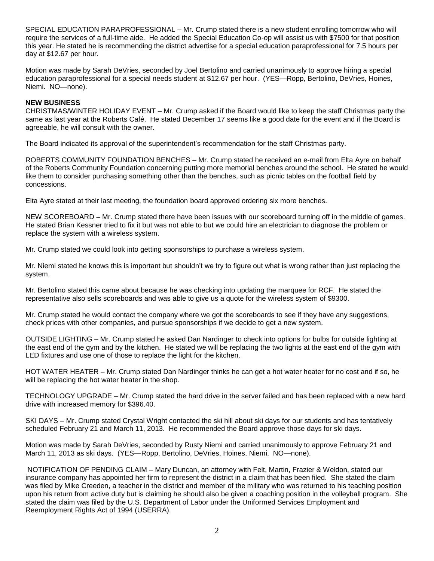SPECIAL EDUCATION PARAPROFESSIONAL – Mr. Crump stated there is a new student enrolling tomorrow who will require the services of a full-time aide. He added the Special Education Co-op will assist us with \$7500 for that position this year. He stated he is recommending the district advertise for a special education paraprofessional for 7.5 hours per day at \$12.67 per hour.

Motion was made by Sarah DeVries, seconded by Joel Bertolino and carried unanimously to approve hiring a special education paraprofessional for a special needs student at \$12.67 per hour. (YES—Ropp, Bertolino, DeVries, Hoines, Niemi. NO—none).

## **NEW BUSINESS**

CHRISTMAS/WINTER HOLIDAY EVENT – Mr. Crump asked if the Board would like to keep the staff Christmas party the same as last year at the Roberts Café. He stated December 17 seems like a good date for the event and if the Board is agreeable, he will consult with the owner.

The Board indicated its approval of the superintendent's recommendation for the staff Christmas party.

ROBERTS COMMUNITY FOUNDATION BENCHES – Mr. Crump stated he received an e-mail from Elta Ayre on behalf of the Roberts Community Foundation concerning putting more memorial benches around the school. He stated he would like them to consider purchasing something other than the benches, such as picnic tables on the football field by concessions.

Elta Ayre stated at their last meeting, the foundation board approved ordering six more benches.

NEW SCOREBOARD – Mr. Crump stated there have been issues with our scoreboard turning off in the middle of games. He stated Brian Kessner tried to fix it but was not able to but we could hire an electrician to diagnose the problem or replace the system with a wireless system.

Mr. Crump stated we could look into getting sponsorships to purchase a wireless system.

Mr. Niemi stated he knows this is important but shouldn't we try to figure out what is wrong rather than just replacing the system.

Mr. Bertolino stated this came about because he was checking into updating the marquee for RCF. He stated the representative also sells scoreboards and was able to give us a quote for the wireless system of \$9300.

Mr. Crump stated he would contact the company where we got the scoreboards to see if they have any suggestions, check prices with other companies, and pursue sponsorships if we decide to get a new system.

OUTSIDE LIGHTING – Mr. Crump stated he asked Dan Nardinger to check into options for bulbs for outside lighting at the east end of the gym and by the kitchen. He stated we will be replacing the two lights at the east end of the gym with LED fixtures and use one of those to replace the light for the kitchen.

HOT WATER HEATER – Mr. Crump stated Dan Nardinger thinks he can get a hot water heater for no cost and if so, he will be replacing the hot water heater in the shop.

TECHNOLOGY UPGRADE – Mr. Crump stated the hard drive in the server failed and has been replaced with a new hard drive with increased memory for \$396.40.

SKI DAYS – Mr. Crump stated Crystal Wright contacted the ski hill about ski days for our students and has tentatively scheduled February 21 and March 11, 2013. He recommended the Board approve those days for ski days.

Motion was made by Sarah DeVries, seconded by Rusty Niemi and carried unanimously to approve February 21 and March 11, 2013 as ski days. (YES—Ropp, Bertolino, DeVries, Hoines, Niemi. NO—none).

NOTIFICATION OF PENDING CLAIM – Mary Duncan, an attorney with Felt, Martin, Frazier & Weldon, stated our insurance company has appointed her firm to represent the district in a claim that has been filed. She stated the claim was filed by Mike Creeden, a teacher in the district and member of the military who was returned to his teaching position upon his return from active duty but is claiming he should also be given a coaching position in the volleyball program. She stated the claim was filed by the U.S. Department of Labor under the Uniformed Services Employment and Reemployment Rights Act of 1994 (USERRA).